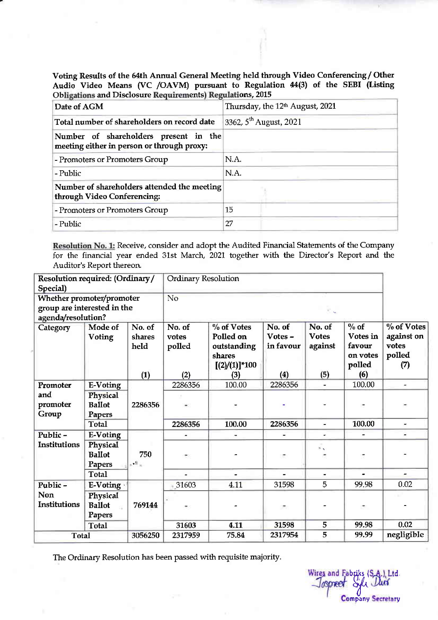Obligations and Disclosure Requirements) Regulations, 2015 Voting Results of the 64th Annual General Meeting held through Video Conferencing/ Other Audio Video Means (VC /OAVM) pursuant to Regulation A4(3) of the SEBI (Listing

| Date of AGM                                                                         | Thursday, the 12 <sup>th</sup> August, 2021 |
|-------------------------------------------------------------------------------------|---------------------------------------------|
| Total number of shareholders on record date                                         | 3362, 5 <sup>th</sup> August, 2021          |
| Number of shareholders present in the<br>meeting either in person or through proxy: |                                             |
| - Promoters or Promoters Group                                                      | N.A.                                        |
| - Public                                                                            | N.A.                                        |
| Number of shareholders attended the meeting<br>through Video Conferencing:          |                                             |
| - Promoters or Promoters Group                                                      | 15                                          |
| - Public                                                                            | 27                                          |

Resolution No. 1: Receive, consider and adopt the Audited Financial Statements of the Company for the financial year ended 31st March, 2021 together with the Director's Report and the Auditor's Report thereon.

| Resolution required: (Ordinary/<br>Special) |                                                                                |                          | <b>Ordinary Resolution</b> |                                                                        |                                |                                   |                                                    |                                                    |  |
|---------------------------------------------|--------------------------------------------------------------------------------|--------------------------|----------------------------|------------------------------------------------------------------------|--------------------------------|-----------------------------------|----------------------------------------------------|----------------------------------------------------|--|
|                                             | Whether promoter/promoter<br>group are interested in the<br>agenda/resolution? |                          |                            | No                                                                     |                                |                                   |                                                    |                                                    |  |
| Category                                    | Mode of<br>Voting                                                              | No. of<br>shares<br>held | No. of<br>votes<br>polled  | % of Votes<br>Polled on<br>outstanding<br>shares<br>$[(2)/(1)]^{*}100$ | No. of<br>Votes -<br>in favour | No. of<br><b>Votes</b><br>against | $%$ of<br>Votes in<br>favour<br>on votes<br>polled | % of Votes<br>against on<br>votes<br>polled<br>(7) |  |
|                                             |                                                                                | (1)                      | (2)                        | (3)                                                                    | (4)                            | (5)                               | (6)                                                |                                                    |  |
| Promoter                                    | <b>E-Voting</b>                                                                |                          | 2286356                    | 100.00                                                                 | 2286356                        |                                   | 100.00                                             | $\overline{\phantom{a}}$                           |  |
| and<br>promoter<br>Group                    | Physical<br><b>Ballot</b><br>Papers                                            | 2286356                  |                            |                                                                        |                                |                                   |                                                    |                                                    |  |
|                                             | <b>Total</b>                                                                   |                          | 2286356                    | 100.00                                                                 | 2286356                        | $\overline{\phantom{a}}$          | 100.00                                             | $\overline{\phantom{0}}$                           |  |
| Public-                                     | E-Voting                                                                       |                          |                            | ۰                                                                      |                                | ÷                                 |                                                    | ۰                                                  |  |
| <b>Institutions</b>                         | Physical<br><b>Ballot</b><br><b>Papers</b>                                     | 750<br>$\mathcal{A}$ .   |                            |                                                                        | ٠                              | $\mathbb{R}$                      |                                                    |                                                    |  |
|                                             | <b>Total</b>                                                                   |                          |                            |                                                                        |                                |                                   |                                                    |                                                    |  |
| Public-                                     | E-Voting                                                                       |                          | 31603                      | 4.11                                                                   | 31598                          | 5                                 | 99.98                                              | 0.02                                               |  |
| <b>Non</b><br><b>Institutions</b>           | Physical<br><b>Ballot</b><br>Papers                                            | 769144                   |                            |                                                                        | ٠                              |                                   |                                                    |                                                    |  |
|                                             | <b>Total</b>                                                                   |                          | 31603                      | 4.11                                                                   | 31598                          | 5                                 | 99.98                                              | 0.02                                               |  |
| <b>Total</b>                                |                                                                                | 3056250                  | 2317959                    | 75.84                                                                  | 2317954                        | $\overline{5}$                    | 99.99                                              | negligible                                         |  |

The Ordinary Resolution has been passed with requisite majority.

Wires and Fabriks (S.A.) Ltd. **Company Secretary**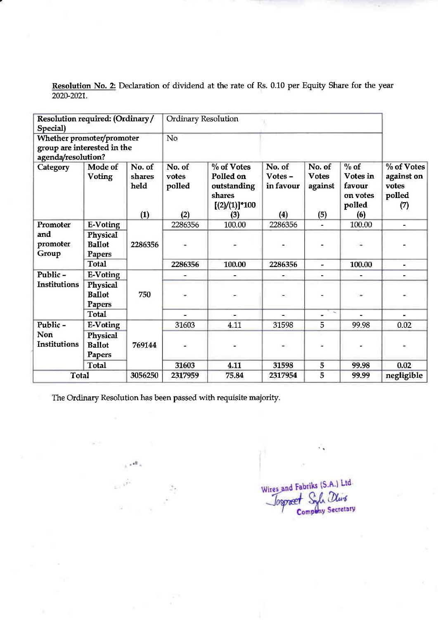Resolution No. 2: Declaration of dividend at the rate of Rs. 0.10 per Equity Share for the year 2020-2021..

| Resolution required: (Ordinary/<br>Special)                                    |                                                 |                                 | Ordinary Resolution              |                                                                             |                                       |                                          |                                                            |                                                      |
|--------------------------------------------------------------------------------|-------------------------------------------------|---------------------------------|----------------------------------|-----------------------------------------------------------------------------|---------------------------------------|------------------------------------------|------------------------------------------------------------|------------------------------------------------------|
| Whether promoter/promoter<br>group are interested in the<br>agenda/resolution? |                                                 |                                 | No                               |                                                                             |                                       |                                          |                                                            |                                                      |
| Category                                                                       | Mode of<br><b>Voting</b>                        | No. of<br>shares<br>held<br>(1) | No. of<br>votes<br>polled<br>(2) | % of Votes<br>Polled on<br>outstanding<br>shares<br>$[(2)/(1)]$ *100<br>(3) | No. of<br>Votes -<br>in favour<br>(4) | No. of<br><b>Votes</b><br>against<br>(5) | $\%$ of<br>Votes in<br>favour<br>on votes<br>polled<br>(6) | $%$ of Votes<br>against on<br>votes<br>polled<br>(7) |
| Promoter                                                                       | <b>E-Voting</b>                                 |                                 | 2286356                          | 100.00                                                                      | 2286356                               |                                          | 100.00                                                     | $\blacksquare$                                       |
| and<br>promoter<br>Group                                                       | Physical<br><b>Ballot</b><br>Papers             | 2286356                         |                                  |                                                                             |                                       |                                          |                                                            |                                                      |
|                                                                                | <b>Total</b>                                    |                                 | 2286356                          | 100.00                                                                      | 2286356                               | $\overline{\phantom{a}}$                 | 100.00                                                     | $\blacksquare$                                       |
| Public-<br><b>Institutions</b>                                                 | E-Voting<br>Physical<br><b>Ballot</b><br>Papers | 750                             |                                  |                                                                             |                                       |                                          |                                                            | $\overline{\phantom{a}}$                             |
|                                                                                | <b>Total</b>                                    |                                 |                                  |                                                                             |                                       |                                          |                                                            |                                                      |
| Public-<br>Non                                                                 | E-Voting<br>Physical                            |                                 | 31603                            | 4.11                                                                        | 31598                                 | 5                                        | 99.98                                                      | 0.02                                                 |
| <b>Institutions</b>                                                            | <b>Ballot</b><br>Papers                         | 769144                          |                                  |                                                                             |                                       |                                          |                                                            |                                                      |
|                                                                                | <b>Total</b>                                    |                                 | 31603                            | 4.11                                                                        | 31598                                 | 5                                        | 99.98                                                      | 0.02                                                 |
| <b>Total</b>                                                                   |                                                 | 3056250                         | 2317959                          | 75.84                                                                       | 2317954                               | 5                                        | 99.99                                                      | negligible                                           |

The Ordinary Resolution has been passed with requisite majority

بالحبي

Wires and Faulting<br>Josepæet Syle Olivé Company Secretary

 $\sim$  s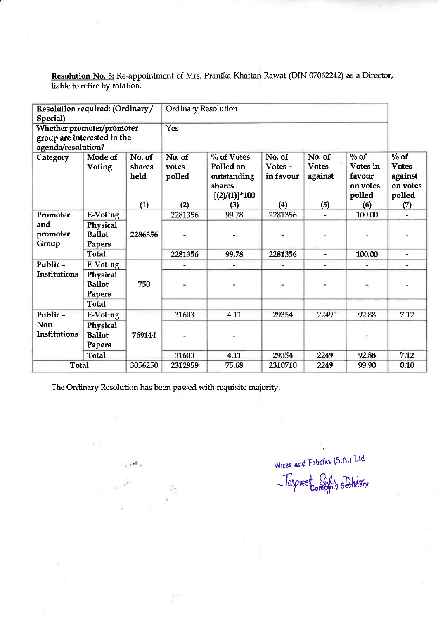| Resolution required: (Ordinary/<br>Special)                                    |                                     |                                 | <b>Ordinary Resolution</b>       |                                                                                |                                         |                                          |                                                           |                                                                |
|--------------------------------------------------------------------------------|-------------------------------------|---------------------------------|----------------------------------|--------------------------------------------------------------------------------|-----------------------------------------|------------------------------------------|-----------------------------------------------------------|----------------------------------------------------------------|
| Whether promoter/promoter<br>group are interested in the<br>agenda/resolution? |                                     |                                 | Yes                              |                                                                                |                                         |                                          |                                                           |                                                                |
| Category                                                                       | Mode of<br><b>Voting</b>            | No. of<br>shares<br>held<br>(1) | No. of<br>votes<br>polled<br>(2) | $\%$ of Votes<br>Polled on<br>outstanding<br>shares<br>$[(2)/(1)]$ *100<br>(3) | No. of<br>$Votes -$<br>in favour<br>(4) | No. of<br><b>Votes</b><br>against<br>(5) | $%$ of<br>Votes in<br>favour<br>on votes<br>polled<br>(6) | $%$ of<br><b>Votes</b><br>against<br>on votes<br>polled<br>(7) |
| Promoter                                                                       | E-Voting                            |                                 | 2281356                          | 99.78                                                                          | 2281356                                 |                                          | 100.00                                                    |                                                                |
| and<br>promoter<br>Group                                                       | Physical<br><b>Ballot</b><br>Papers | 2286356                         |                                  |                                                                                |                                         |                                          |                                                           |                                                                |
|                                                                                | <b>Total</b>                        |                                 | 2281356                          | 99.78                                                                          | 2281356                                 | $\overline{a}$                           | 100.00                                                    | $\blacksquare$                                                 |
| Public-                                                                        | E-Voting                            |                                 |                                  |                                                                                |                                         |                                          |                                                           |                                                                |
| Institutions                                                                   | Physical<br><b>Ballot</b><br>Papers | 750                             |                                  |                                                                                | ٠                                       |                                          |                                                           |                                                                |
|                                                                                | <b>Total</b>                        |                                 |                                  |                                                                                | $\overline{a}$                          | $\overline{a}$                           | $\overline{a}$                                            | $\tilde{\phantom{a}}$                                          |
| Public-                                                                        | <b>E-Voting</b>                     |                                 | 31603                            | 4.11                                                                           | 29354                                   | 2249                                     | 92.88                                                     | 7.12                                                           |
| <b>Non</b><br>Institutions                                                     | Physical<br><b>Ballot</b><br>Papers | 769144                          |                                  |                                                                                |                                         |                                          | ÷                                                         |                                                                |
|                                                                                | <b>Total</b>                        |                                 | 31603                            | 4.11                                                                           | 29354                                   | 2249                                     | 92.88                                                     | 7.12                                                           |
| <b>Total</b>                                                                   |                                     | 3056250                         | 2312959                          | 75.68                                                                          | 2310710                                 | 2249                                     | 99.90                                                     | 0.10                                                           |

Resolution No. 3: Re-appointment of Mrs. Pranika Khaitan Rawat (DIN 07062242) as a Director, liable to retire by rotation.

The Ordinary Resolution has been passed with requisite majority.

 $\ldots$  .

Wires and Fabriks (S.A.) Ltd. Taspreet Sixh sleterary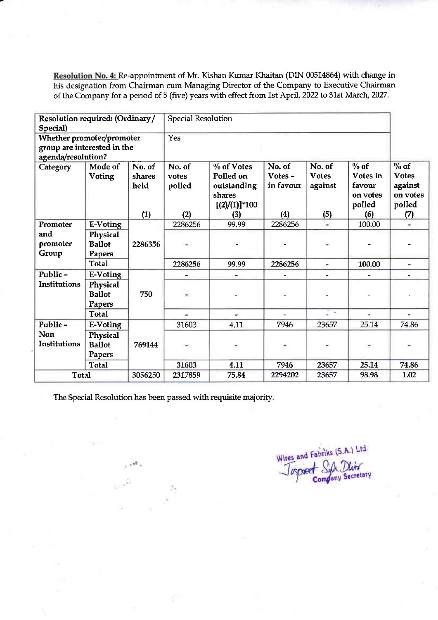Resolution No. 4: Re-appointrnent of Mr. Kishan Kumar Khaitan (DIN 00514864) with change in his designation from Chairman cum Managing Director of the Company to Executive Chairman of the Company for a period of 5 (five) years with effect from 1st April, 2022 to 31st March, 2027.

| Resolution required: (Ordinary/<br>Special)                                    |                                                        |                                 | <b>Special Resolution</b>        |                                                                                |                                      |                                          |                                                            |                                                                 |  |
|--------------------------------------------------------------------------------|--------------------------------------------------------|---------------------------------|----------------------------------|--------------------------------------------------------------------------------|--------------------------------------|------------------------------------------|------------------------------------------------------------|-----------------------------------------------------------------|--|
| Whether promoter/promoter<br>group are interested in the<br>agenda/resolution? |                                                        |                                 | Yes                              |                                                                                |                                      |                                          |                                                            |                                                                 |  |
| Category                                                                       | Mode of<br>Voting                                      | No. of<br>shares<br>held<br>(1) | No. of<br>votes<br>polled<br>(2) | $\%$ of Votes<br>Polled on<br>outstanding<br>shares<br>$[(2)/(1)]$ *100<br>(3) | No. of<br>Votes-<br>in favour<br>(4) | No. of<br><b>Votes</b><br>against<br>(5) | $\%$ of<br>Votes in<br>favour<br>on votes<br>polled<br>(6) | $\%$ of<br><b>Votes</b><br>against<br>on votes<br>polled<br>(7) |  |
| Promoter                                                                       | E-Voting                                               |                                 | 2286256                          | 99.99                                                                          | 2286256                              | ÷                                        | 100.00                                                     | $\overline{\phantom{a}}$                                        |  |
| and<br>promoter<br>Group                                                       | Physical<br><b>Ballot</b><br>Papers                    | 2286356                         |                                  |                                                                                |                                      |                                          |                                                            |                                                                 |  |
|                                                                                | <b>Total</b>                                           |                                 | 2286256                          | 99.99                                                                          | 2286256                              | $\overline{a}$                           | 100.00                                                     | $\overline{\phantom{a}}$                                        |  |
| Public-<br>Institutions                                                        | <b>E-Voting</b><br>Physical<br><b>Ballot</b><br>Papers | 750                             | ۰                                | -                                                                              |                                      |                                          |                                                            |                                                                 |  |
|                                                                                | <b>Total</b>                                           |                                 |                                  |                                                                                |                                      | Øκ                                       |                                                            |                                                                 |  |
| Public-                                                                        | E-Voting                                               |                                 | 31603                            | 4.11                                                                           | 7946                                 | 23657                                    | 25.14                                                      | 74.86                                                           |  |
| Non<br>Institutions                                                            | Physical<br><b>Ballot</b><br>Papers                    | 769144                          | $\overline{\phantom{a}}$         |                                                                                | $\blacksquare$                       |                                          | ۰.                                                         |                                                                 |  |
|                                                                                | <b>Total</b>                                           |                                 | 31603                            | 4.11                                                                           | 7946                                 | 23657                                    | 25.14                                                      | 74.86                                                           |  |
| <b>Total</b>                                                                   |                                                        | 3056250                         | 2317859                          | 75.84                                                                          | 2294202                              | 23657                                    | 98.98                                                      | 1.02                                                            |  |

The Special Resolution has been passed with requisite majority.

Wires and Fabriks (S.A.) Ltd.<br>Taspeer Syle Divid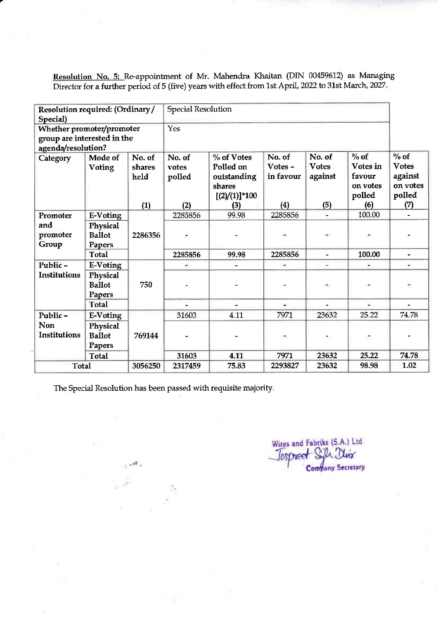Resolution No. 5: Re-appointment of Mr. Mahendra Khaitan (DIN 00459612) as Managing Director for a further period of 5 (five) years with effect from 1st April, 2022 to 31st March, 2027

| Resolution required: (Ordinary/<br>Special)                                    |                                                     |                                 | <b>Special Resolution</b>        |                                                                                  |                                       |                                          |                                                           |                                                                |
|--------------------------------------------------------------------------------|-----------------------------------------------------|---------------------------------|----------------------------------|----------------------------------------------------------------------------------|---------------------------------------|------------------------------------------|-----------------------------------------------------------|----------------------------------------------------------------|
| Whether promoter/promoter<br>group are interested in the<br>agenda/resolution? |                                                     |                                 | Yes                              |                                                                                  |                                       |                                          |                                                           |                                                                |
| Category                                                                       | Mode of<br>Voting                                   | No. of<br>shares<br>held<br>(1) | No. of<br>votes<br>polled<br>(2) | $\%$ of Votes<br>Polled on<br>outstanding<br>shares<br>$[(2)/(1)]^{*}100$<br>(3) | No. of<br>Votes -<br>in favour<br>(4) | No. of<br><b>Votes</b><br>against<br>(5) | $%$ of<br>Votes in<br>favour<br>on votes<br>polled<br>(6) | $%$ of<br><b>Votes</b><br>against<br>on votes<br>polled<br>(7) |
| Promoter                                                                       | <b>E-Voting</b>                                     |                                 | 2285856                          | 99.98                                                                            | 2285856                               |                                          | 100.00                                                    |                                                                |
| and<br>promoter<br>Group                                                       | Physical<br><b>Ballot</b><br>Papers                 | 2286356                         |                                  |                                                                                  |                                       |                                          |                                                           |                                                                |
|                                                                                | <b>Total</b>                                        |                                 | 2285856                          | 99.98                                                                            | 2285856                               | $\overline{\phantom{a}}$                 | 100.00                                                    | $\blacksquare$                                                 |
| Public-                                                                        | E-Voting                                            |                                 | ٠                                |                                                                                  | ۰                                     | $\overline{\phantom{a}}$                 |                                                           |                                                                |
| <b>Institutions</b>                                                            | Physical<br><b>Ballot</b><br>Papers                 | 750                             |                                  |                                                                                  |                                       | ۳.                                       |                                                           |                                                                |
|                                                                                | <b>Total</b>                                        |                                 |                                  |                                                                                  |                                       |                                          |                                                           |                                                                |
| Public-                                                                        | <b>E-Voting</b>                                     |                                 | 31603                            | 4.11                                                                             | 7971                                  | 23632                                    | 25.22                                                     | 74.78                                                          |
| Non<br><b>Institutions</b>                                                     | Physical<br><b>Ballot</b><br>Papers<br><b>Total</b> | 769144                          | 31603                            | 4.11                                                                             | ÷.<br>7971                            | 23632                                    | ÷,<br>25.22                                               | 74.78                                                          |
| <b>Total</b>                                                                   |                                                     | 3056250                         | 2317459                          | 75.83                                                                            | 2293827                               | 23632                                    | 98.98                                                     | 1.02                                                           |
|                                                                                |                                                     |                                 |                                  |                                                                                  |                                       |                                          |                                                           |                                                                |

The Special Resolution has been passed with requisite majority.

Wires and Fabriks (S.A.) Ltd Tospreet Sigh Dirx